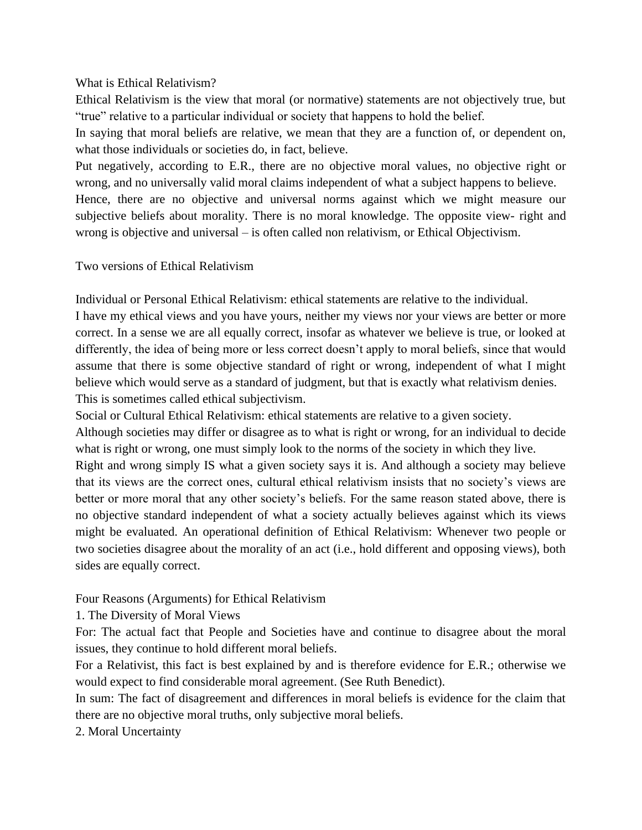### What is Ethical Relativism?

Ethical Relativism is the view that moral (or normative) statements are not objectively true, but "true" relative to a particular individual or society that happens to hold the belief.

In saying that moral beliefs are relative, we mean that they are a function of, or dependent on, what those individuals or societies do, in fact, believe.

Put negatively, according to E.R., there are no objective moral values, no objective right or wrong, and no universally valid moral claims independent of what a subject happens to believe.

Hence, there are no objective and universal norms against which we might measure our subjective beliefs about morality. There is no moral knowledge. The opposite view- right and wrong is objective and universal – is often called non relativism, or Ethical Objectivism.

## Two versions of Ethical Relativism

Individual or Personal Ethical Relativism: ethical statements are relative to the individual.

I have my ethical views and you have yours, neither my views nor your views are better or more correct. In a sense we are all equally correct, insofar as whatever we believe is true, or looked at differently, the idea of being more or less correct doesn't apply to moral beliefs, since that would assume that there is some objective standard of right or wrong, independent of what I might believe which would serve as a standard of judgment, but that is exactly what relativism denies. This is sometimes called ethical subjectivism.

Social or Cultural Ethical Relativism: ethical statements are relative to a given society.

Although societies may differ or disagree as to what is right or wrong, for an individual to decide what is right or wrong, one must simply look to the norms of the society in which they live.

Right and wrong simply IS what a given society says it is. And although a society may believe that its views are the correct ones, cultural ethical relativism insists that no society's views are better or more moral that any other society's beliefs. For the same reason stated above, there is no objective standard independent of what a society actually believes against which its views might be evaluated. An operational definition of Ethical Relativism: Whenever two people or two societies disagree about the morality of an act (i.e., hold different and opposing views), both sides are equally correct.

# Four Reasons (Arguments) for Ethical Relativism

1. The Diversity of Moral Views

For: The actual fact that People and Societies have and continue to disagree about the moral issues, they continue to hold different moral beliefs.

For a Relativist, this fact is best explained by and is therefore evidence for E.R.; otherwise we would expect to find considerable moral agreement. (See Ruth Benedict).

In sum: The fact of disagreement and differences in moral beliefs is evidence for the claim that there are no objective moral truths, only subjective moral beliefs.

2. Moral Uncertainty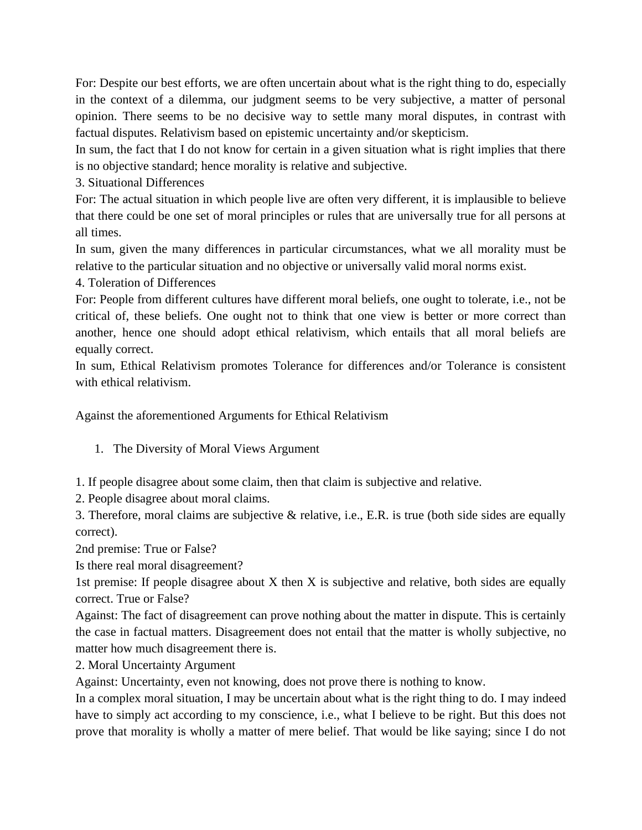For: Despite our best efforts, we are often uncertain about what is the right thing to do, especially in the context of a dilemma, our judgment seems to be very subjective, a matter of personal opinion. There seems to be no decisive way to settle many moral disputes, in contrast with factual disputes. Relativism based on epistemic uncertainty and/or skepticism.

In sum, the fact that I do not know for certain in a given situation what is right implies that there is no objective standard; hence morality is relative and subjective.

3. Situational Differences

For: The actual situation in which people live are often very different, it is implausible to believe that there could be one set of moral principles or rules that are universally true for all persons at all times.

In sum, given the many differences in particular circumstances, what we all morality must be relative to the particular situation and no objective or universally valid moral norms exist.

4. Toleration of Differences

For: People from different cultures have different moral beliefs, one ought to tolerate, i.e., not be critical of, these beliefs. One ought not to think that one view is better or more correct than another, hence one should adopt ethical relativism, which entails that all moral beliefs are equally correct.

In sum, Ethical Relativism promotes Tolerance for differences and/or Tolerance is consistent with ethical relativism.

Against the aforementioned Arguments for Ethical Relativism

1. The Diversity of Moral Views Argument

1. If people disagree about some claim, then that claim is subjective and relative.

2. People disagree about moral claims.

3. Therefore, moral claims are subjective & relative, i.e., E.R. is true (both side sides are equally correct).

2nd premise: True or False?

Is there real moral disagreement?

1st premise: If people disagree about X then X is subjective and relative, both sides are equally correct. True or False?

Against: The fact of disagreement can prove nothing about the matter in dispute. This is certainly the case in factual matters. Disagreement does not entail that the matter is wholly subjective, no matter how much disagreement there is.

2. Moral Uncertainty Argument

Against: Uncertainty, even not knowing, does not prove there is nothing to know.

In a complex moral situation, I may be uncertain about what is the right thing to do. I may indeed have to simply act according to my conscience, i.e., what I believe to be right. But this does not prove that morality is wholly a matter of mere belief. That would be like saying; since I do not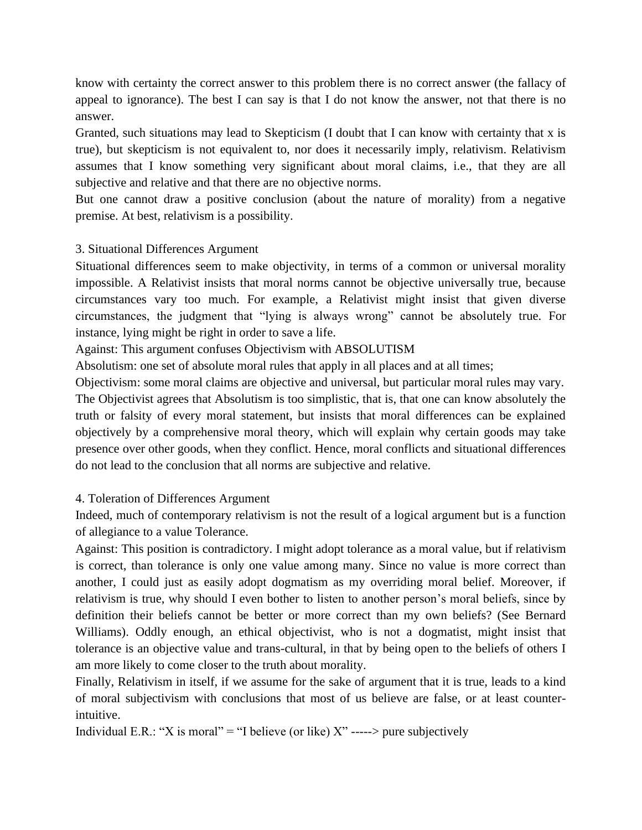know with certainty the correct answer to this problem there is no correct answer (the fallacy of appeal to ignorance). The best I can say is that I do not know the answer, not that there is no answer.

Granted, such situations may lead to Skepticism (I doubt that I can know with certainty that x is true), but skepticism is not equivalent to, nor does it necessarily imply, relativism. Relativism assumes that I know something very significant about moral claims, i.e., that they are all subjective and relative and that there are no objective norms.

But one cannot draw a positive conclusion (about the nature of morality) from a negative premise. At best, relativism is a possibility.

# 3. Situational Differences Argument

Situational differences seem to make objectivity, in terms of a common or universal morality impossible. A Relativist insists that moral norms cannot be objective universally true, because circumstances vary too much. For example, a Relativist might insist that given diverse circumstances, the judgment that "lying is always wrong" cannot be absolutely true. For instance, lying might be right in order to save a life.

Against: This argument confuses Objectivism with ABSOLUTISM

Absolutism: one set of absolute moral rules that apply in all places and at all times;

Objectivism: some moral claims are objective and universal, but particular moral rules may vary. The Objectivist agrees that Absolutism is too simplistic, that is, that one can know absolutely the truth or falsity of every moral statement, but insists that moral differences can be explained objectively by a comprehensive moral theory, which will explain why certain goods may take presence over other goods, when they conflict. Hence, moral conflicts and situational differences do not lead to the conclusion that all norms are subjective and relative.

## 4. Toleration of Differences Argument

Indeed, much of contemporary relativism is not the result of a logical argument but is a function of allegiance to a value Tolerance.

Against: This position is contradictory. I might adopt tolerance as a moral value, but if relativism is correct, than tolerance is only one value among many. Since no value is more correct than another, I could just as easily adopt dogmatism as my overriding moral belief. Moreover, if relativism is true, why should I even bother to listen to another person's moral beliefs, since by definition their beliefs cannot be better or more correct than my own beliefs? (See Bernard Williams). Oddly enough, an ethical objectivist, who is not a dogmatist, might insist that tolerance is an objective value and trans-cultural, in that by being open to the beliefs of others I am more likely to come closer to the truth about morality.

Finally, Relativism in itself, if we assume for the sake of argument that it is true, leads to a kind of moral subjectivism with conclusions that most of us believe are false, or at least counterintuitive.

Individual E.R.: "X is moral" = "I believe (or like)  $X$ " -----> pure subjectively